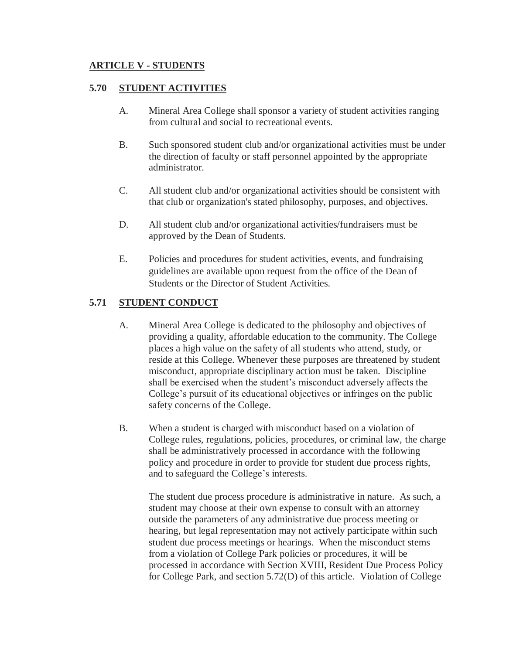### **5.70 STUDENT ACTIVITIES**

- A. Mineral Area College shall sponsor a variety of student activities ranging from cultural and social to recreational events.
- B. Such sponsored student club and/or organizational activities must be under the direction of faculty or staff personnel appointed by the appropriate administrator.
- C. All student club and/or organizational activities should be consistent with that club or organization's stated philosophy, purposes, and objectives.
- D. All student club and/or organizational activities/fundraisers must be approved by the Dean of Students.
- E. Policies and procedures for student activities, events, and fundraising guidelines are available upon request from the office of the Dean of Students or the Director of Student Activities.

# **5.71 STUDENT CONDUCT**

- A. Mineral Area College is dedicated to the philosophy and objectives of providing a quality, affordable education to the community. The College places a high value on the safety of all students who attend, study, or reside at this College. Whenever these purposes are threatened by student misconduct, appropriate disciplinary action must be taken. Discipline shall be exercised when the student's misconduct adversely affects the College's pursuit of its educational objectives or infringes on the public safety concerns of the College.
- B. When a student is charged with misconduct based on a violation of College rules, regulations, policies, procedures, or criminal law, the charge shall be administratively processed in accordance with the following policy and procedure in order to provide for student due process rights, and to safeguard the College's interests.

The student due process procedure is administrative in nature. As such, a student may choose at their own expense to consult with an attorney outside the parameters of any administrative due process meeting or hearing, but legal representation may not actively participate within such student due process meetings or hearings. When the misconduct stems from a violation of College Park policies or procedures, it will be processed in accordance with Section XVIII, Resident Due Process Policy for College Park, and section 5.72(D) of this article. Violation of College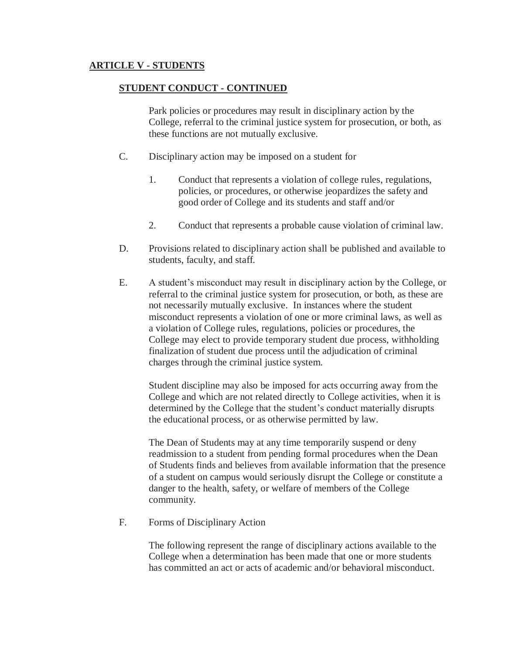## **STUDENT CONDUCT - CONTINUED**

Park policies or procedures may result in disciplinary action by the College, referral to the criminal justice system for prosecution, or both, as these functions are not mutually exclusive.

- C. Disciplinary action may be imposed on a student for
	- 1. Conduct that represents a violation of college rules, regulations, policies, or procedures, or otherwise jeopardizes the safety and good order of College and its students and staff and/or
	- 2. Conduct that represents a probable cause violation of criminal law.
- D. Provisions related to disciplinary action shall be published and available to students, faculty, and staff.
- E. A student's misconduct may result in disciplinary action by the College, or referral to the criminal justice system for prosecution, or both, as these are not necessarily mutually exclusive. In instances where the student misconduct represents a violation of one or more criminal laws, as well as a violation of College rules, regulations, policies or procedures, the College may elect to provide temporary student due process, withholding finalization of student due process until the adjudication of criminal charges through the criminal justice system.

Student discipline may also be imposed for acts occurring away from the College and which are not related directly to College activities, when it is determined by the College that the student's conduct materially disrupts the educational process, or as otherwise permitted by law.

The Dean of Students may at any time temporarily suspend or deny readmission to a student from pending formal procedures when the Dean of Students finds and believes from available information that the presence of a student on campus would seriously disrupt the College or constitute a danger to the health, safety, or welfare of members of the College community.

F. Forms of Disciplinary Action

The following represent the range of disciplinary actions available to the College when a determination has been made that one or more students has committed an act or acts of academic and/or behavioral misconduct.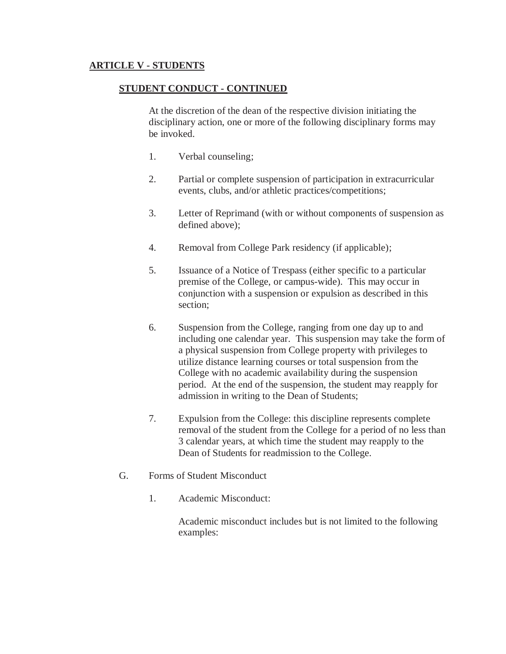### **STUDENT CONDUCT - CONTINUED**

At the discretion of the dean of the respective division initiating the disciplinary action, one or more of the following disciplinary forms may be invoked.

- 1. Verbal counseling;
- 2. Partial or complete suspension of participation in extracurricular events, clubs, and/or athletic practices/competitions;
- 3. Letter of Reprimand (with or without components of suspension as defined above);
- 4. Removal from College Park residency (if applicable);
- 5. Issuance of a Notice of Trespass (either specific to a particular premise of the College, or campus-wide). This may occur in conjunction with a suspension or expulsion as described in this section;
- 6. Suspension from the College, ranging from one day up to and including one calendar year. This suspension may take the form of a physical suspension from College property with privileges to utilize distance learning courses or total suspension from the College with no academic availability during the suspension period. At the end of the suspension, the student may reapply for admission in writing to the Dean of Students;
- 7. Expulsion from the College: this discipline represents complete removal of the student from the College for a period of no less than 3 calendar years, at which time the student may reapply to the Dean of Students for readmission to the College.
- G. Forms of Student Misconduct
	- 1. Academic Misconduct:

Academic misconduct includes but is not limited to the following examples: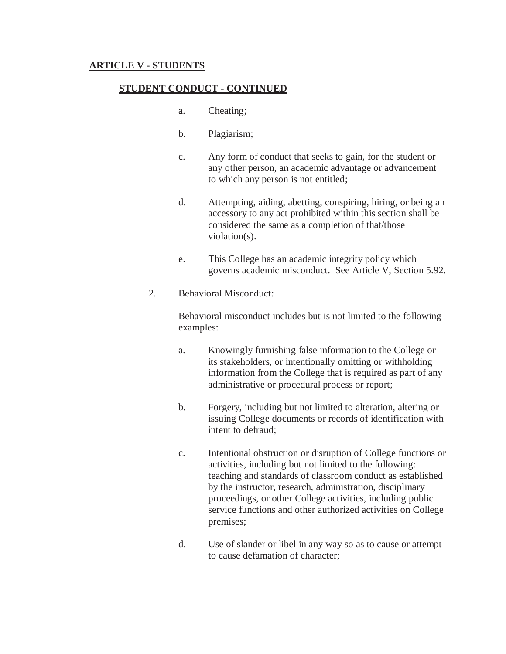#### **STUDENT CONDUCT - CONTINUED**

- a. Cheating;
- b. Plagiarism;
- c. Any form of conduct that seeks to gain, for the student or any other person, an academic advantage or advancement to which any person is not entitled;
- d. Attempting, aiding, abetting, conspiring, hiring, or being an accessory to any act prohibited within this section shall be considered the same as a completion of that/those violation(s).
- e. This College has an academic integrity policy which governs academic misconduct. See Article V, Section 5.92.
- 2. Behavioral Misconduct:

 Behavioral misconduct includes but is not limited to the following examples:

- a. Knowingly furnishing false information to the College or its stakeholders, or intentionally omitting or withholding information from the College that is required as part of any administrative or procedural process or report;
- b. Forgery, including but not limited to alteration, altering or issuing College documents or records of identification with intent to defraud;
- c. Intentional obstruction or disruption of College functions or activities, including but not limited to the following: teaching and standards of classroom conduct as established by the instructor, research, administration, disciplinary proceedings, or other College activities, including public service functions and other authorized activities on College premises;
- d. Use of slander or libel in any way so as to cause or attempt to cause defamation of character;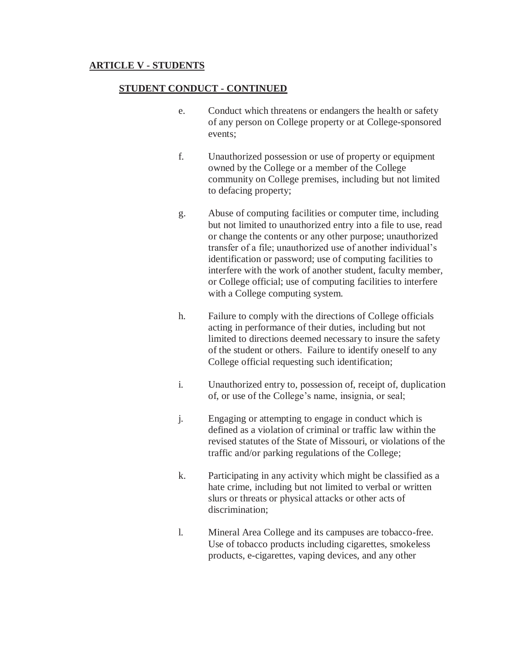### **STUDENT CONDUCT - CONTINUED**

- e. Conduct which threatens or endangers the health or safety of any person on College property or at College-sponsored events;
- f. Unauthorized possession or use of property or equipment owned by the College or a member of the College community on College premises, including but not limited to defacing property;
- g. Abuse of computing facilities or computer time, including but not limited to unauthorized entry into a file to use, read or change the contents or any other purpose; unauthorized transfer of a file; unauthorized use of another individual's identification or password; use of computing facilities to interfere with the work of another student, faculty member, or College official; use of computing facilities to interfere with a College computing system.
- h. Failure to comply with the directions of College officials acting in performance of their duties, including but not limited to directions deemed necessary to insure the safety of the student or others. Failure to identify oneself to any College official requesting such identification;
- i. Unauthorized entry to, possession of, receipt of, duplication of, or use of the College's name, insignia, or seal;
- j. Engaging or attempting to engage in conduct which is defined as a violation of criminal or traffic law within the revised statutes of the State of Missouri, or violations of the traffic and/or parking regulations of the College;
- k. Participating in any activity which might be classified as a hate crime, including but not limited to verbal or written slurs or threats or physical attacks or other acts of discrimination;
- l. Mineral Area College and its campuses are tobacco-free. Use of tobacco products including cigarettes, smokeless products, e-cigarettes, vaping devices, and any other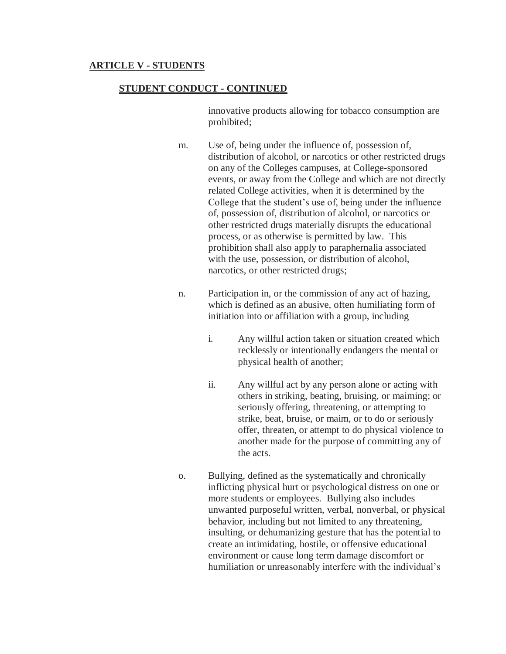### **STUDENT CONDUCT - CONTINUED**

 innovative products allowing for tobacco consumption are prohibited;

- m. Use of, being under the influence of, possession of, distribution of alcohol, or narcotics or other restricted drugs on any of the Colleges campuses, at College-sponsored events, or away from the College and which are not directly related College activities, when it is determined by the College that the student's use of, being under the influence of, possession of, distribution of alcohol, or narcotics or other restricted drugs materially disrupts the educational process, or as otherwise is permitted by law. This prohibition shall also apply to paraphernalia associated with the use, possession, or distribution of alcohol, narcotics, or other restricted drugs;
- n. Participation in, or the commission of any act of hazing, which is defined as an abusive, often humiliating form of initiation into or affiliation with a group, including
	- i. Any willful action taken or situation created which recklessly or intentionally endangers the mental or physical health of another;
	- ii. Any willful act by any person alone or acting with others in striking, beating, bruising, or maiming; or seriously offering, threatening, or attempting to strike, beat, bruise, or maim, or to do or seriously offer, threaten, or attempt to do physical violence to another made for the purpose of committing any of the acts.
- o. Bullying, defined as the systematically and chronically inflicting physical hurt or psychological distress on one or more students or employees. Bullying also includes unwanted purposeful written, verbal, nonverbal, or physical behavior, including but not limited to any threatening, insulting, or dehumanizing gesture that has the potential to create an intimidating, hostile, or offensive educational environment or cause long term damage discomfort or humiliation or unreasonably interfere with the individual's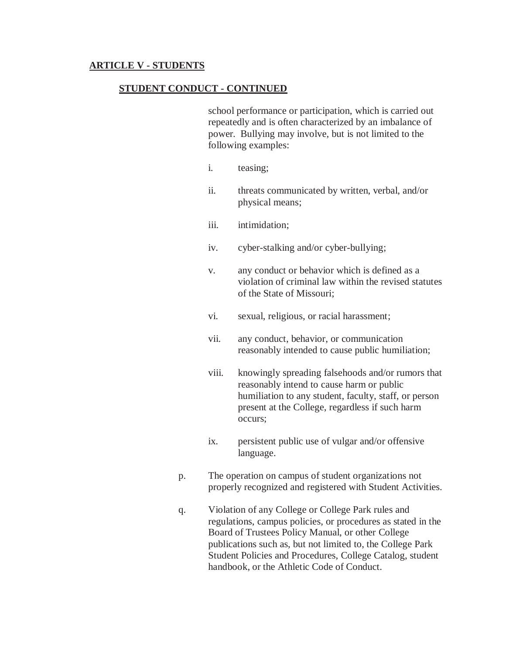## **STUDENT CONDUCT - CONTINUED**

school performance or participation, which is carried out repeatedly and is often characterized by an imbalance of power. Bullying may involve, but is not limited to the following examples:

- i. teasing;
- ii. threats communicated by written, verbal, and/or physical means;
- iii. intimidation:
- iv. cyber-stalking and/or cyber-bullying;
- v. any conduct or behavior which is defined as a violation of criminal law within the revised statutes of the State of Missouri;
- vi. sexual, religious, or racial harassment;
- vii. any conduct, behavior, or communication reasonably intended to cause public humiliation;
- viii. knowingly spreading falsehoods and/or rumors that reasonably intend to cause harm or public humiliation to any student, faculty, staff, or person present at the College, regardless if such harm occurs;
- ix. persistent public use of vulgar and/or offensive language.
- p. The operation on campus of student organizations not properly recognized and registered with Student Activities.
- q. Violation of any College or College Park rules and regulations, campus policies, or procedures as stated in the Board of Trustees Policy Manual, or other College publications such as, but not limited to, the College Park Student Policies and Procedures, College Catalog, student handbook, or the Athletic Code of Conduct.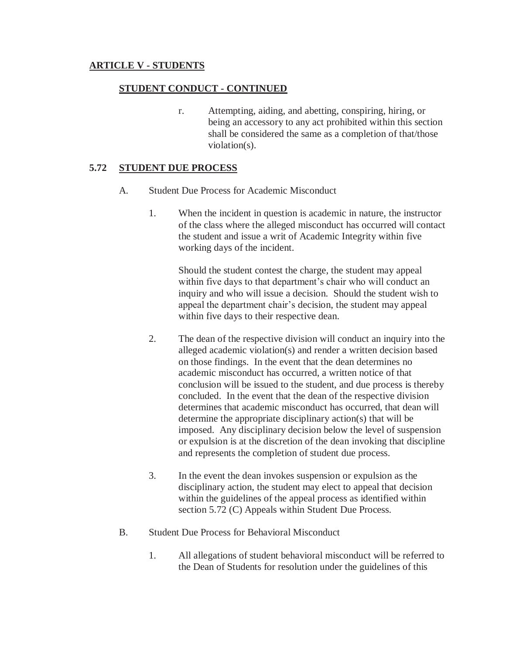# **STUDENT CONDUCT - CONTINUED**

r. Attempting, aiding, and abetting, conspiring, hiring, or being an accessory to any act prohibited within this section shall be considered the same as a completion of that/those violation(s).

### **5.72 STUDENT DUE PROCESS**

- A. Student Due Process for Academic Misconduct
	- 1. When the incident in question is academic in nature, the instructor of the class where the alleged misconduct has occurred will contact the student and issue a writ of Academic Integrity within five working days of the incident.

Should the student contest the charge, the student may appeal within five days to that department's chair who will conduct an inquiry and who will issue a decision. Should the student wish to appeal the department chair's decision, the student may appeal within five days to their respective dean.

- 2. The dean of the respective division will conduct an inquiry into the alleged academic violation(s) and render a written decision based on those findings. In the event that the dean determines no academic misconduct has occurred, a written notice of that conclusion will be issued to the student, and due process is thereby concluded. In the event that the dean of the respective division determines that academic misconduct has occurred, that dean will determine the appropriate disciplinary action(s) that will be imposed. Any disciplinary decision below the level of suspension or expulsion is at the discretion of the dean invoking that discipline and represents the completion of student due process.
- 3. In the event the dean invokes suspension or expulsion as the disciplinary action, the student may elect to appeal that decision within the guidelines of the appeal process as identified within section 5.72 (C) Appeals within Student Due Process.
- B. Student Due Process for Behavioral Misconduct
	- 1. All allegations of student behavioral misconduct will be referred to the Dean of Students for resolution under the guidelines of this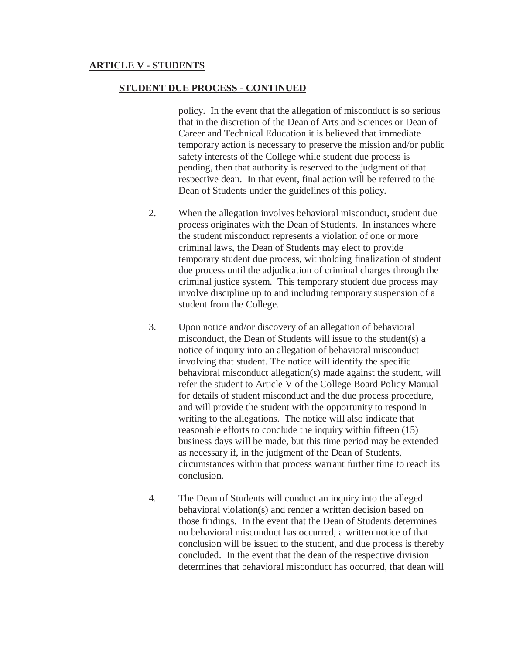#### **STUDENT DUE PROCESS - CONTINUED**

policy. In the event that the allegation of misconduct is so serious that in the discretion of the Dean of Arts and Sciences or Dean of Career and Technical Education it is believed that immediate temporary action is necessary to preserve the mission and/or public safety interests of the College while student due process is pending, then that authority is reserved to the judgment of that respective dean. In that event, final action will be referred to the Dean of Students under the guidelines of this policy.

- 2. When the allegation involves behavioral misconduct, student due process originates with the Dean of Students. In instances where the student misconduct represents a violation of one or more criminal laws, the Dean of Students may elect to provide temporary student due process, withholding finalization of student due process until the adjudication of criminal charges through the criminal justice system. This temporary student due process may involve discipline up to and including temporary suspension of a student from the College.
- 3. Upon notice and/or discovery of an allegation of behavioral misconduct, the Dean of Students will issue to the student(s) a notice of inquiry into an allegation of behavioral misconduct involving that student. The notice will identify the specific behavioral misconduct allegation(s) made against the student, will refer the student to Article V of the College Board Policy Manual for details of student misconduct and the due process procedure, and will provide the student with the opportunity to respond in writing to the allegations. The notice will also indicate that reasonable efforts to conclude the inquiry within fifteen (15) business days will be made, but this time period may be extended as necessary if, in the judgment of the Dean of Students, circumstances within that process warrant further time to reach its conclusion.
- 4. The Dean of Students will conduct an inquiry into the alleged behavioral violation(s) and render a written decision based on those findings. In the event that the Dean of Students determines no behavioral misconduct has occurred, a written notice of that conclusion will be issued to the student, and due process is thereby concluded. In the event that the dean of the respective division determines that behavioral misconduct has occurred, that dean will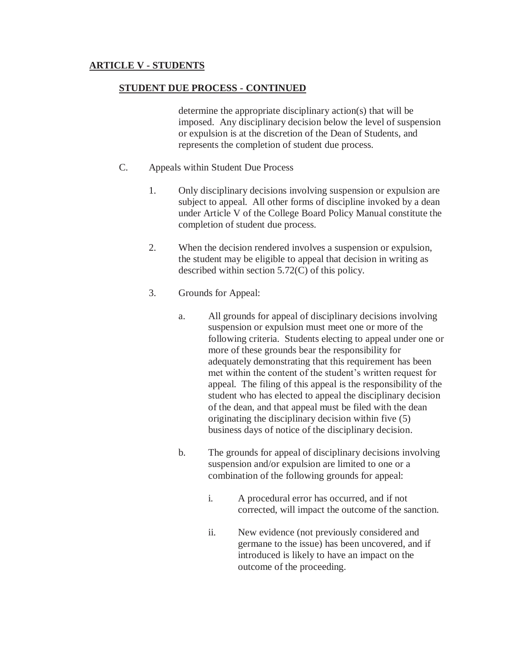### **STUDENT DUE PROCESS - CONTINUED**

determine the appropriate disciplinary action(s) that will be imposed. Any disciplinary decision below the level of suspension or expulsion is at the discretion of the Dean of Students, and represents the completion of student due process.

- C. Appeals within Student Due Process
	- 1. Only disciplinary decisions involving suspension or expulsion are subject to appeal. All other forms of discipline invoked by a dean under Article V of the College Board Policy Manual constitute the completion of student due process.
	- 2. When the decision rendered involves a suspension or expulsion, the student may be eligible to appeal that decision in writing as described within section 5.72(C) of this policy.
	- 3. Grounds for Appeal:
		- a. All grounds for appeal of disciplinary decisions involving suspension or expulsion must meet one or more of the following criteria. Students electing to appeal under one or more of these grounds bear the responsibility for adequately demonstrating that this requirement has been met within the content of the student's written request for appeal. The filing of this appeal is the responsibility of the student who has elected to appeal the disciplinary decision of the dean, and that appeal must be filed with the dean originating the disciplinary decision within five (5) business days of notice of the disciplinary decision.
		- b. The grounds for appeal of disciplinary decisions involving suspension and/or expulsion are limited to one or a combination of the following grounds for appeal:
			- i. A procedural error has occurred, and if not corrected, will impact the outcome of the sanction.
			- ii. New evidence (not previously considered and germane to the issue) has been uncovered, and if introduced is likely to have an impact on the outcome of the proceeding.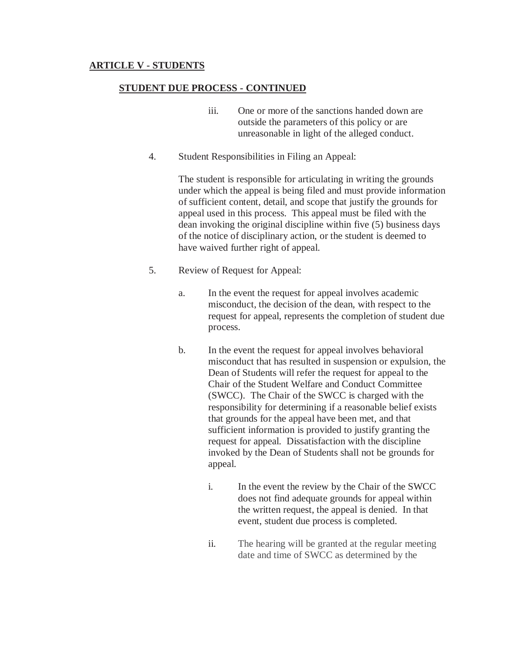#### **STUDENT DUE PROCESS - CONTINUED**

- iii. One or more of the sanctions handed down are outside the parameters of this policy or are unreasonable in light of the alleged conduct.
- 4. Student Responsibilities in Filing an Appeal:

The student is responsible for articulating in writing the grounds under which the appeal is being filed and must provide information of sufficient content, detail, and scope that justify the grounds for appeal used in this process. This appeal must be filed with the dean invoking the original discipline within five (5) business days of the notice of disciplinary action, or the student is deemed to have waived further right of appeal.

- 5. Review of Request for Appeal:
	- a. In the event the request for appeal involves academic misconduct, the decision of the dean, with respect to the request for appeal, represents the completion of student due process.
	- b. In the event the request for appeal involves behavioral misconduct that has resulted in suspension or expulsion, the Dean of Students will refer the request for appeal to the Chair of the Student Welfare and Conduct Committee (SWCC). The Chair of the SWCC is charged with the responsibility for determining if a reasonable belief exists that grounds for the appeal have been met, and that sufficient information is provided to justify granting the request for appeal. Dissatisfaction with the discipline invoked by the Dean of Students shall not be grounds for appeal.
		- i. In the event the review by the Chair of the SWCC does not find adequate grounds for appeal within the written request, the appeal is denied. In that event, student due process is completed.
		- ii. The hearing will be granted at the regular meeting date and time of SWCC as determined by the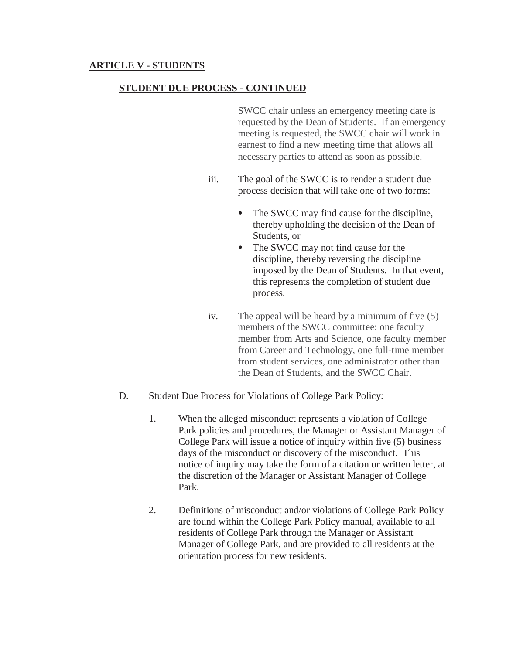## **STUDENT DUE PROCESS - CONTINUED**

 SWCC chair unless an emergency meeting date is requested by the Dean of Students. If an emergency meeting is requested, the SWCC chair will work in earnest to find a new meeting time that allows all necessary parties to attend as soon as possible.

- iii. The goal of the SWCC is to render a student due process decision that will take one of two forms:
	- The SWCC may find cause for the discipline, thereby upholding the decision of the Dean of Students, or
	- The SWCC may not find cause for the discipline, thereby reversing the discipline imposed by the Dean of Students. In that event, this represents the completion of student due process.
- iv. The appeal will be heard by a minimum of five (5) members of the SWCC committee: one faculty member from Arts and Science, one faculty member from Career and Technology, one full-time member from student services, one administrator other than the Dean of Students, and the SWCC Chair.
- D. Student Due Process for Violations of College Park Policy:
	- 1. When the alleged misconduct represents a violation of College Park policies and procedures, the Manager or Assistant Manager of College Park will issue a notice of inquiry within five (5) business days of the misconduct or discovery of the misconduct. This notice of inquiry may take the form of a citation or written letter, at the discretion of the Manager or Assistant Manager of College Park.
	- 2. Definitions of misconduct and/or violations of College Park Policy are found within the College Park Policy manual, available to all residents of College Park through the Manager or Assistant Manager of College Park, and are provided to all residents at the orientation process for new residents.